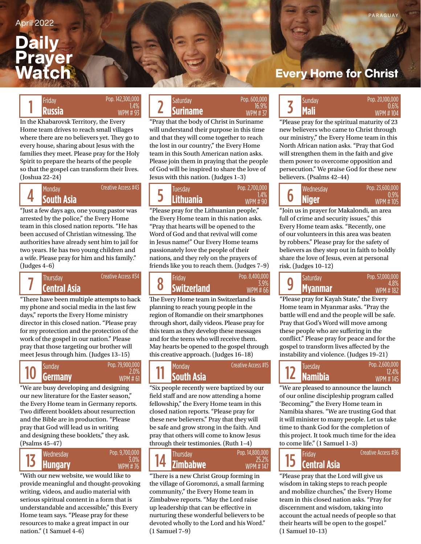## **Daily Prayer Watch**

#### Pop. 142,300,000 1.4% WPM # 93

In the Khabarovsk Territory, the Every Home team drives to reach small villages where there are no believers yet. They go to every house, sharing about Jesus with the families they meet. Please pray for the Holy Spirit to prepare the hearts of the people so that the gospel can transform their lives. (Joshua 22–24)

4 Creative Access #43

"Just a few days ago, one young pastor was arrested by the police," the Every Home team in this closed nation reports. "He has been accused of Christian witnessing. The authorities have already sent him to jail for two years. He has two young children and a wife. Please pray for him and his family." (Judges 4–6)



"There have been multiple attempts to hack

Creative Access #34

my phone and social media in the last few days," reports the Every Home ministry director in this closed nation. "Please pray for my protection and the protection of the work of the gospel in our nation." Please pray that those targeting our brother will meet Jesus through him. (Judges 13–15)



"We are busy developing and designing our new literature for the Easter season," the Every Home team in Germany reports. Two different booklets about resurrection and the Bible are in production. "Please pray that God will lead us in writing and designing these booklets," they ask. (Psalms 45–47)



"With our new website, we would like to provide meaningful and thought-provoking writing, videos, and audio material with serious spiritual content in a form that is understandable and accessible," this Every Home team says. "Please pray for these resources to make a great impact in our nation." (1 Samuel 4–6)

#### Friday **Russia Prop.** 142,500,000<br>**Russia Russia Russia Russia Russia Russia Prop.** 31,4% **Suriname Prop.** 30,000 **Prop.** 37 **Suriname** Friday Saturday Sunday Pop. 600,000

"Pray that the body of Christ in Suriname will understand their purpose in this time and that they will come together to reach the lost in our country," the Every Home team in this South American nation asks. Please join them in praying that the people of God will be inspired to share the love of Jesus with this nation. (Judges 1–3)

16.9% WPM # 37

| <b>Monday</b><br>South Asia | Creative Access #43 | Tuesdav<br><b>Lithuania</b> | Pop. 2,700,000 |  | Wednesday<br><b>Niger</b> |
|-----------------------------|---------------------|-----------------------------|----------------|--|---------------------------|
|                             |                     |                             |                |  |                           |

"Please pray for the Lithuanian people," the Every Home team in this nation asks. "Pray that hearts will be opened to the Word of God and that revival will come in Jesus name!" Our Every Home teams passionately love the people of their nations, and they rely on the prayers of friends like you to reach them. (Judges 7–9)

**Central Asia Switzerland Myanmar** Thursday Creative Access #34 **Friday** Friday Saturday Pop. 8,400,000 **Saturday** 8 Pop. 8,400,000 3.9% WPM # 66

The Every Home team in Switzerland is planning to reach young people in the region of Romandie on their smartphones through short, daily videos. Please pray for this team as they develop these messages and for the teens who will receive them. May hearts be opened to the gospel through this creative approach. (Judges 16–18)



"Six people recently were baptized by our field staff and are now attending a home fellowship," the Every Home team in this closed nation reports. "Please pray for these new believers." Pray that they will be safe and grow strong in the faith. And pray that others will come to know Jesus through their testimonies. (Ruth 1–4)



"There is a new Christ Group forming in the village of Goromonzi, a small farming community," the Every Home team in Zimbabwe reports. "May the Lord raise up leadership that can be effective in nurturing these wonderful believers to be devoted wholly to the Lord and his Word." (1 Samuel 7–9)

### **Every Home for Christ**



"Please pray for the spiritual maturity of 23 new believers who came to Christ through our ministry," the Every Home team in this North African nation asks. "Pray that God will strengthen them in the faith and give them power to overcome opposition and persecution." We praise God for these new believers. (Psalms 42–44)

|  | Wednesday    | Pop. 23.600.000  |  |  |
|--|--------------|------------------|--|--|
|  | <b>Niger</b> | 0.9%<br>WPM #105 |  |  |

"Join us in prayer for Makalondi, an area full of crime and security issues," this Every Home team asks. "Recently, one of our volunteers in this area was beaten by robbers." Please pray for the safety of believers as they step out in faith to boldly share the love of Jesus, even at personal risk. (Judges 10–12)

| 9 | <b>Saturday</b> | Pop. 57,000,000  |  |  |
|---|-----------------|------------------|--|--|
|   | <b>Myanmar</b>  | 4.8%<br>WPM #182 |  |  |

"Please pray for Kayah State," the Every Home team in Myanmar asks. "Pray the battle will end and the people will be safe. Pray that God's Word will move among these people who are suffering in the conflict." Please pray for peace and for the gospel to transform lives affected by the instability and violence. (Judges 19–21)



"We are pleased to announce the launch of our online discipleship program called 'Becoming,"' the Every Home team in Namibia shares. "We are trusting God that it will minister to many people. Let us take time to thank God for the completion of this project. It took much time for the idea to come life." (1 Samuel 1–3)

Creative Access #36

# 15

"Please pray that the Lord will give us wisdom in taking steps to reach people and mobilize churches," the Every Home team in this closed nation asks. "Pray for discernment and wisdom, taking into account the actual needs of people so that their hearts will be open to the gospel." (1 Samuel 10–13)